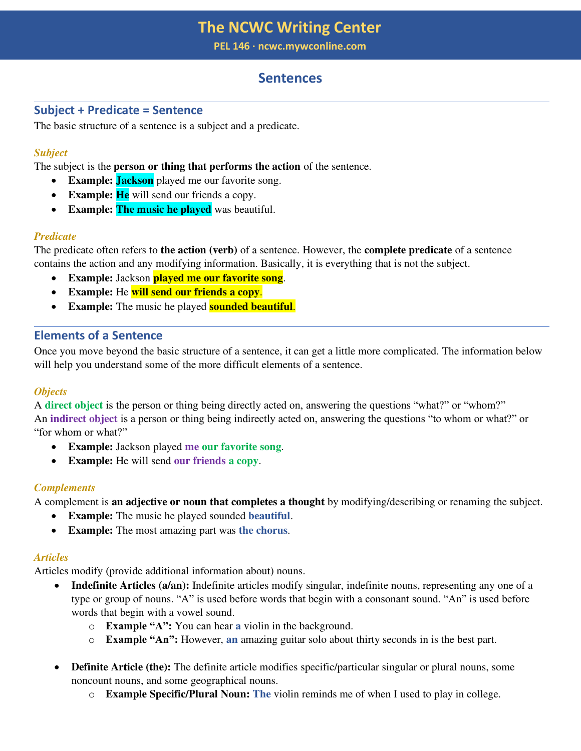**PEL 146 ∙ ncwc.mywconline.com**

# **Sentences**

# **Subject + Predicate = Sentence**

The basic structure of a sentence is a subject and a predicate.

# *Subject*

The subject is the **person or thing that performs the action** of the sentence.

- **Example: Jackson** played me our favorite song.
- **Example: He** will send our friends a copy.
- **Example: The music he played** was beautiful.

# *Predicate*

The predicate often refers to **the action (verb)** of a sentence. However, the **complete predicate** of a sentence contains the action and any modifying information. Basically, it is everything that is not the subject.

- **Example:** Jackson **played me our favorite song**.
- **Example:** He **will send our friends a copy**.
- **Example:** The music he played **sounded beautiful**.

# **Elements of a Sentence**

Once you move beyond the basic structure of a sentence, it can get a little more complicated. The information below will help you understand some of the more difficult elements of a sentence.

# *Objects*

A **direct object** is the person or thing being directly acted on, answering the questions "what?" or "whom?" An **indirect object** is a person or thing being indirectly acted on, answering the questions "to whom or what?" or "for whom or what?"

- **Example:** Jackson played **me our favorite song**.
- **Example:** He will send **our friends a copy**.

# *Complements*

A complement is **an adjective or noun that completes a thought** by modifying/describing or renaming the subject.

- **Example:** The music he played sounded **beautiful**.
- **Example:** The most amazing part was **the chorus**.

# *Articles*

Articles modify (provide additional information about) nouns.

- **Indefinite Articles (a/an):** Indefinite articles modify singular, indefinite nouns, representing any one of a type or group of nouns. "A" is used before words that begin with a consonant sound. "An" is used before words that begin with a vowel sound.
	- o **Example "A":** You can hear **a** violin in the background.
	- o **Example "An":** However, **an** amazing guitar solo about thirty seconds in is the best part.
- **Definite Article (the):** The definite article modifies specific/particular singular or plural nouns, some noncount nouns, and some geographical nouns.
	- o **Example Specific/Plural Noun: The** violin reminds me of when I used to play in college.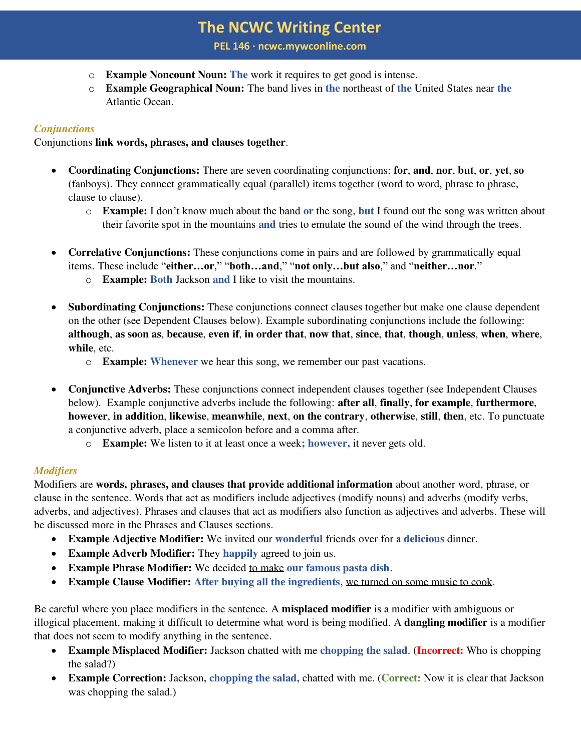**PEL 146 ∙ ncwc.mywconline.com**

- o **Example Noncount Noun: The** work it requires to get good is intense.
- o **Example Geographical Noun:** The band lives in **the** northeast of **the** United States near **the** Atlantic Ocean.

# *Conjunctions*

Conjunctions **link words, phrases, and clauses together**.

- **Coordinating Conjunctions:** There are seven coordinating conjunctions: **for**, **and**, **nor**, **but**, **or**, **yet**, **so**  (fanboys). They connect grammatically equal (parallel) items together (word to word, phrase to phrase, clause to clause).
	- o **Example:** I don't know much about the band **or** the song, **but** I found out the song was written about their favorite spot in the mountains **and** tries to emulate the sound of the wind through the trees.
- **Correlative Conjunctions:** These conjunctions come in pairs and are followed by grammatically equal items. These include "**either…or**," "**both…and**," "**not only…but also**," and "**neither…nor**."
	- o **Example: Both** Jackson **and** I like to visit the mountains.
- **Subordinating Conjunctions:** These conjunctions connect clauses together but make one clause dependent on the other (see Dependent Clauses below). Example subordinating conjunctions include the following: **although**, **as soon as**, **because**, **even if**, **in order that**, **now that**, **since**, **that**, **though**, **unless**, **when**, **where**, **while**, etc.
	- o **Example: Whenever** we hear this song, we remember our past vacations.
- **Conjunctive Adverbs:** These conjunctions connect independent clauses together (see Independent Clauses below). Example conjunctive adverbs include the following: **after all**, **finally**, **for example**, **furthermore**, **however**, **in addition**, **likewise**, **meanwhile**, **next**, **on the contrary**, **otherwise**, **still**, **then**, etc. To punctuate a conjunctive adverb, place a semicolon before and a comma after.
	- o **Example:** We listen to it at least once a week**; however,** it never gets old.

# *Modifiers*

Modifiers are **words, phrases, and clauses that provide additional information** about another word, phrase, or clause in the sentence. Words that act as modifiers include adjectives (modify nouns) and adverbs (modify verbs, adverbs, and adjectives). Phrases and clauses that act as modifiers also function as adjectives and adverbs. These will be discussed more in the Phrases and Clauses sections.

- **Example Adjective Modifier:** We invited our **wonderful** friends over for a **delicious** dinner.
- **Example Adverb Modifier:** They **happily** agreed to join us.
- **Example Phrase Modifier:** We decided to make **our famous pasta dish**.
- **Example Clause Modifier: After buying all the ingredients**, we turned on some music to cook.

Be careful where you place modifiers in the sentence. A **misplaced modifier** is a modifier with ambiguous or illogical placement, making it difficult to determine what word is being modified. A **dangling modifier** is a modifier that does not seem to modify anything in the sentence.

- **Example Misplaced Modifier:** Jackson chatted with me **chopping the salad**. (**Incorrect:** Who is chopping the salad?)
- **Example Correction:** Jackson**, chopping the salad,** chatted with me. (**Correct:** Now it is clear that Jackson was chopping the salad.)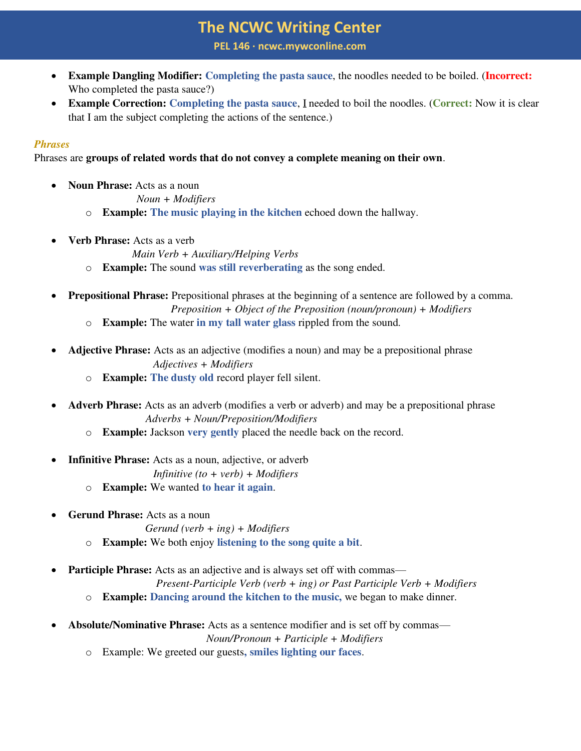**PEL 146 ∙ ncwc.mywconline.com**

- **Example Dangling Modifier: Completing the pasta sauce**, the noodles needed to be boiled. (**Incorrect:** Who completed the pasta sauce?)
- **Example Correction: Completing the pasta sauce**, I needed to boil the noodles. (**Correct:** Now it is clear that I am the subject completing the actions of the sentence.)

#### *Phrases*

Phrases are **groups of related words that do not convey a complete meaning on their own**.

**Noun Phrase:** Acts as a noun

*Noun + Modifiers*

- o **Example: The music playing in the kitchen** echoed down the hallway.
- **Verb Phrase:** Acts as a verb

 *Main Verb + Auxiliary/Helping Verbs*

- o **Example:** The sound **was still reverberating** as the song ended.
- **Prepositional Phrase:** Prepositional phrases at the beginning of a sentence are followed by a comma. *Preposition + Object of the Preposition (noun/pronoun) + Modifiers*
	- o **Example:** The water **in my tall water glass** rippled from the sound.
- **Adjective Phrase:** Acts as an adjective (modifies a noun) and may be a prepositional phrase *Adjectives + Modifiers*
	- o **Example: The dusty old** record player fell silent.
- **Adverb Phrase:** Acts as an adverb (modifies a verb or adverb) and may be a prepositional phrase  *Adverbs + Noun/Preposition/Modifiers*
	- o **Example:** Jackson **very gently** placed the needle back on the record.
- **Infinitive Phrase:** Acts as a noun, adjective, or adverb

*Infinitive (to + verb) + Modifiers*

- o **Example:** We wanted **to hear it again**.
- **Gerund Phrase:** Acts as a noun

*Gerund (verb + ing) + Modifiers*

- o **Example:** We both enjoy **listening to the song quite a bit**.
- **Participle Phrase:** Acts as an adjective and is always set off with commas—

 *Present-Participle Verb (verb + ing) or Past Participle Verb + Modifiers* 

- o **Example: Dancing around the kitchen to the music,** we began to make dinner.
- **Absolute/Nominative Phrase:** Acts as a sentence modifier and is set off by commas—

 *Noun/Pronoun + Participle + Modifiers* 

o Example: We greeted our guests**, smiles lighting our faces**.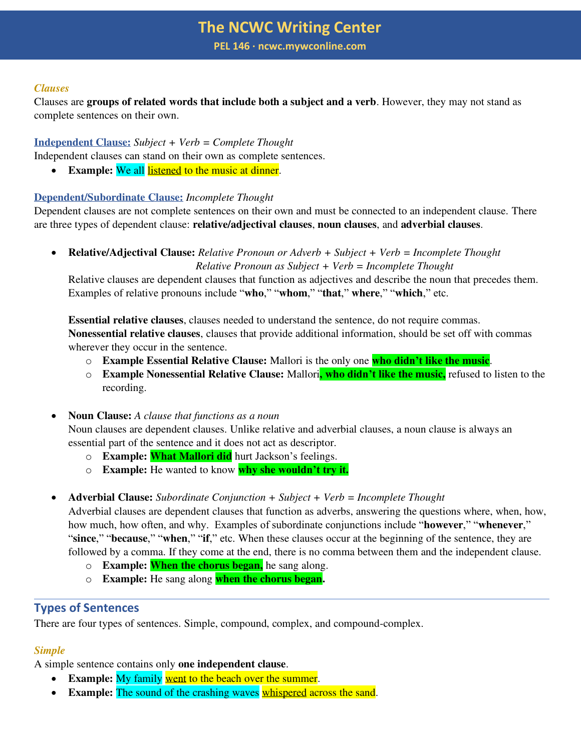**PEL 146 ∙ ncwc.mywconline.com**

#### *Clauses*

Clauses are **groups of related words that include both a subject and a verb**. However, they may not stand as complete sentences on their own.

**Independent Clause:** *Subject + Verb = Complete Thought*

Independent clauses can stand on their own as complete sentences.

• **Example:** We all listened to the music at dinner.

# **Dependent/Subordinate Clause:** *Incomplete Thought*

Dependent clauses are not complete sentences on their own and must be connected to an independent clause. There are three types of dependent clause: **relative/adjectival clauses**, **noun clauses**, and **adverbial clauses**.

• **Relative/Adjectival Clause:** *Relative Pronoun or Adverb + Subject + Verb = Incomplete Thought Relative Pronoun as Subject + Verb = Incomplete Thought* 

Relative clauses are dependent clauses that function as adjectives and describe the noun that precedes them. Examples of relative pronouns include "**who**," "**whom**," "**that**," **where**," "**which**," etc.

**Essential relative clauses**, clauses needed to understand the sentence, do not require commas. **Nonessential relative clauses**, clauses that provide additional information, should be set off with commas wherever they occur in the sentence.

- o **Example Essential Relative Clause:** Mallori is the only one **who didn't like the music**.
- o **Example Nonessential Relative Clause:** Mallori**, who didn't like the music,** refused to listen to the recording.

• **Noun Clause:** *A clause that functions as a noun* Noun clauses are dependent clauses. Unlike relative and adverbial clauses, a noun clause is always an essential part of the sentence and it does not act as descriptor.

- o **Example: What Mallori did** hurt Jackson's feelings.
- o **Example:** He wanted to know **why she wouldn't try it.**
- **Adverbial Clause:** *Subordinate Conjunction + Subject + Verb = Incomplete Thought*

Adverbial clauses are dependent clauses that function as adverbs, answering the questions where, when, how, how much, how often, and why. Examples of subordinate conjunctions include "**however**," "**whenever**," "**since**," "**because**," "**when**," "**if**," etc. When these clauses occur at the beginning of the sentence, they are followed by a comma. If they come at the end, there is no comma between them and the independent clause.

- o **Example: When the chorus began,** he sang along.
- o **Example:** He sang along **when the chorus began.**

# **Types of Sentences**

There are four types of sentences. Simple, compound, complex, and compound-complex.

# *Simple*

A simple sentence contains only **one independent clause**.

- **Example:** My family went to the beach over the summer.
- **Example:** The sound of the crashing waves whispered across the sand.